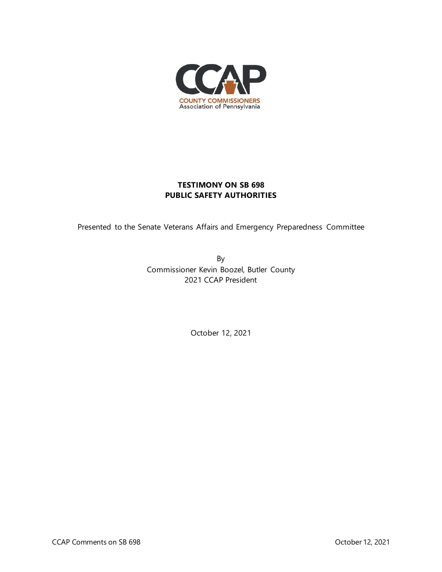

## **TESTIMONY ON SB 698 PUBLIC SAFETY AUTHORITIES**

Presented to the Senate Veterans Affairs and Emergency Preparedness Committee

By Commissioner Kevin Boozel, Butler County 2021 CCAP President

October 12, 2021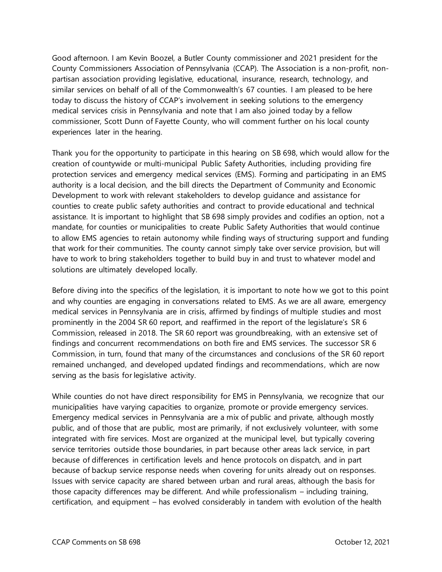Good afternoon. I am Kevin Boozel, a Butler County commissioner and 2021 president for the County Commissioners Association of Pennsylvania (CCAP). The Association is a non-profit, nonpartisan association providing legislative, educational, insurance, research, technology, and similar services on behalf of all of the Commonwealth's 67 counties. I am pleased to be here today to discuss the history of CCAP's involvement in seeking solutions to the emergency medical services crisis in Pennsylvania and note that I am also joined today by a fellow commissioner, Scott Dunn of Fayette County, who will comment further on his local county experiences later in the hearing.

Thank you for the opportunity to participate in this hearing on SB 698, which would allow for the creation of countywide or multi-municipal Public Safety Authorities, including providing fire protection services and emergency medical services (EMS). Forming and participating in an EMS authority is a local decision, and the bill directs the Department of Community and Economic Development to work with relevant stakeholders to develop guidance and assistance for counties to create public safety authorities and contract to provide educational and technical assistance. It is important to highlight that SB 698 simply provides and codifies an option, not a mandate, for counties or municipalities to create Public Safety Authorities that would continue to allow EMS agencies to retain autonomy while finding ways of structuring support and funding that work for their communities. The county cannot simply take over service provision, but will have to work to bring stakeholders together to build buy in and trust to whatever model and solutions are ultimately developed locally.

Before diving into the specifics of the legislation, it is important to note how we got to this point and why counties are engaging in conversations related to EMS. As we are all aware, emergency medical services in Pennsylvania are in crisis, affirmed by findings of multiple studies and most prominently in the 2004 SR 60 report, and reaffirmed in the report of the legislature's SR 6 Commission, released in 2018. The SR 60 report was groundbreaking, with an extensive set of findings and concurrent recommendations on both fire and EMS services. The successor SR 6 Commission, in turn, found that many of the circumstances and conclusions of the SR 60 report remained unchanged, and developed updated findings and recommendations, which are now serving as the basis for legislative activity.

While counties do not have direct responsibility for EMS in Pennsylvania, we recognize that our municipalities have varying capacities to organize, promote or provide emergency services. Emergency medical services in Pennsylvania are a mix of public and private, although mostly public, and of those that are public, most are primarily, if not exclusively volunteer, with some integrated with fire services. Most are organized at the municipal level, but typically covering service territories outside those boundaries, in part because other areas lack service, in part because of differences in certification levels and hence protocols on dispatch, and in part because of backup service response needs when covering for units already out on responses. Issues with service capacity are shared between urban and rural areas, although the basis for those capacity differences may be different. And while professionalism – including training, certification, and equipment – has evolved considerably in tandem with evolution of the health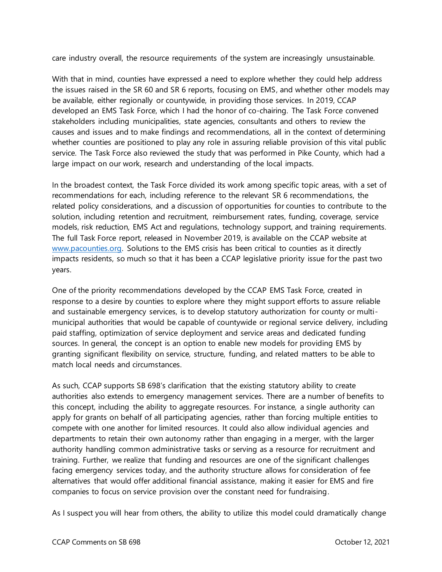care industry overall, the resource requirements of the system are increasingly unsustainable.

With that in mind, counties have expressed a need to explore whether they could help address the issues raised in the SR 60 and SR 6 reports, focusing on EMS, and whether other models may be available, either regionally or countywide, in providing those services. In 2019, CCAP developed an EMS Task Force, which I had the honor of co-chairing. The Task Force convened stakeholders including municipalities, state agencies, consultants and others to review the causes and issues and to make findings and recommendations, all in the context of determining whether counties are positioned to play any role in assuring reliable provision of this vital public service. The Task Force also reviewed the study that was performed in Pike County, which had a large impact on our work, research and understanding of the local impacts.

In the broadest context, the Task Force divided its work among specific topic areas, with a set of recommendations for each, including reference to the relevant SR 6 recommendations, the related policy considerations, and a discussion of opportunities for counties to contribute to the solution, including retention and recruitment, reimbursement rates, funding, coverage, service models, risk reduction, EMS Act and regulations, technology support, and training requirements. The full Task Force report, released in November 2019, is available on the CCAP website at [www.pacounties.org.](http://www.pacounties.org/) Solutions to the EMS crisis has been critical to counties as it directly impacts residents, so much so that it has been a CCAP legislative priority issue for the past two years.

One of the priority recommendations developed by the CCAP EMS Task Force, created in response to a desire by counties to explore where they might support efforts to assure reliable and sustainable emergency services, is to develop statutory authorization for county or multimunicipal authorities that would be capable of countywide or regional service delivery, including paid staffing, optimization of service deployment and service areas and dedicated funding sources. In general, the concept is an option to enable new models for providing EMS by granting significant flexibility on service, structure, funding, and related matters to be able to match local needs and circumstances.

As such, CCAP supports SB 698's clarification that the existing statutory ability to create authorities also extends to emergency management services. There are a number of benefits to this concept, including the ability to aggregate resources. For instance, a single authority can apply for grants on behalf of all participating agencies, rather than forcing multiple entities to compete with one another for limited resources. It could also allow individual agencies and departments to retain their own autonomy rather than engaging in a merger, with the larger authority handling common administrative tasks or serving as a resource for recruitment and training. Further, we realize that funding and resources are one of the significant challenges facing emergency services today, and the authority structure allows for consideration of fee alternatives that would offer additional financial assistance, making it easier for EMS and fire companies to focus on service provision over the constant need for fundraising.

As I suspect you will hear from others, the ability to utilize this model could dramatically change